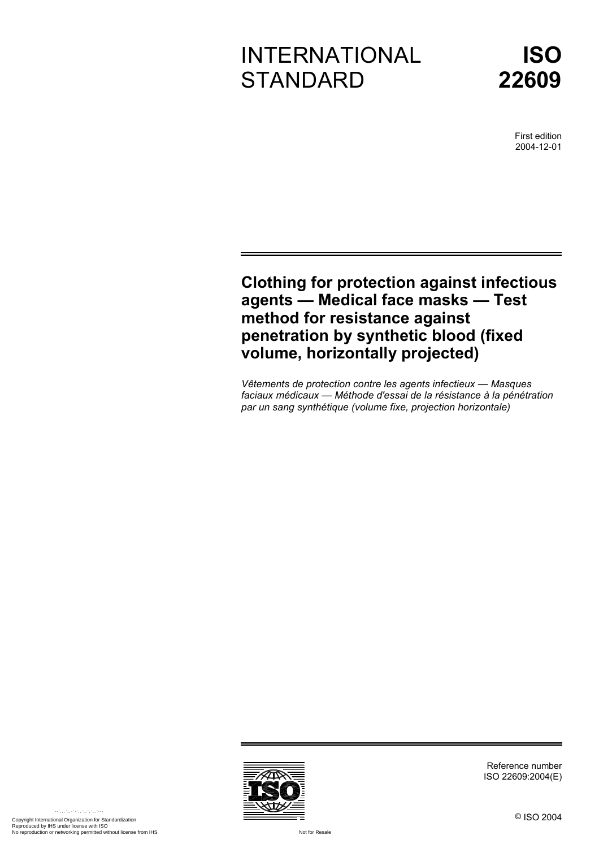# INTERNATIONAL **STANDARD**



First edition 2004-12-01

## **Clothing for protection against infectious agents — Medical face masks — Test method for resistance against penetration by synthetic blood (fixed volume, horizontally projected)**

*Vêtements de protection contre les agents infectieux — Masques faciaux médicaux — Méthode d'essai de la résistance à la pénétration par un sang synthétique (volume fixe, projection horizontale)* 



Reference number ISO 22609:2004(E)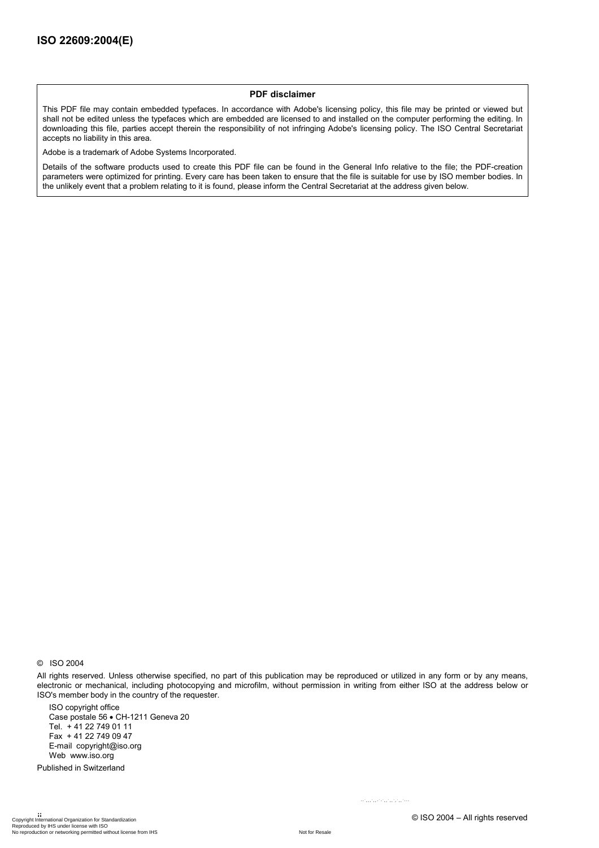#### **PDF disclaimer**

This PDF file may contain embedded typefaces. In accordance with Adobe's licensing policy, this file may be printed or viewed but shall not be edited unless the typefaces which are embedded are licensed to and installed on the computer performing the editing. In downloading this file, parties accept therein the responsibility of not infringing Adobe's licensing policy. The ISO Central Secretariat accepts no liability in this area.

Adobe is a trademark of Adobe Systems Incorporated.

Details of the software products used to create this PDF file can be found in the General Info relative to the file; the PDF-creation parameters were optimized for printing. Every care has been taken to ensure that the file is suitable for use by ISO member bodies. In the unlikely event that a problem relating to it is found, please inform the Central Secretariat at the address given below.

© ISO 2004

All rights reserved. Unless otherwise specified, no part of this publication may be reproduced or utilized in any form or by any means, electronic or mechanical, including photocopying and microfilm, without permission in writing from either ISO at the address below or ISO's member body in the country of the requester.

ISO copyright office Case postale 56 • CH-1211 Geneva 20 Tel. + 41 22 749 01 11 Fax + 41 22 749 09 47 E-mail copyright@iso.org Web www.iso.org

Published in Switzerland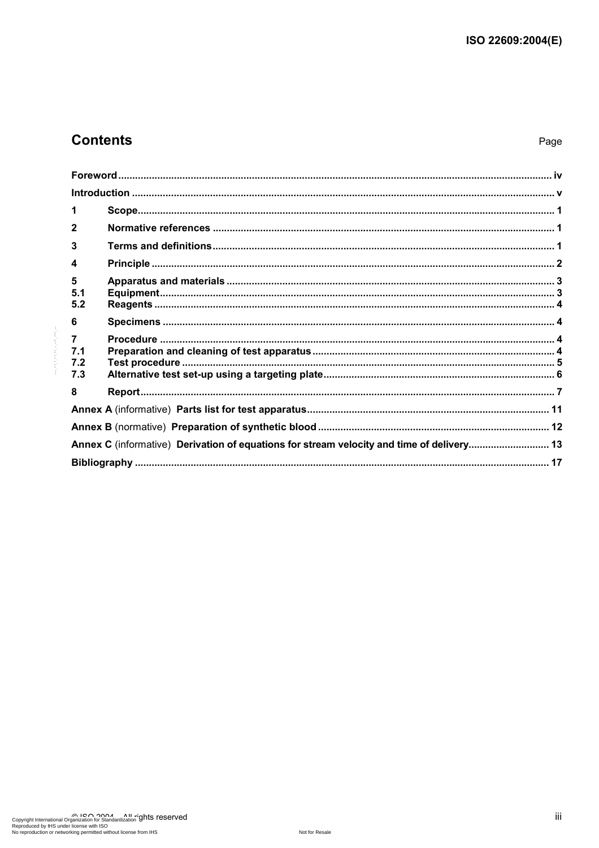## **Contents**

Page

| 1                                                                                         |  |  |  |
|-------------------------------------------------------------------------------------------|--|--|--|
| $\mathbf{2}$                                                                              |  |  |  |
| 3                                                                                         |  |  |  |
| 4                                                                                         |  |  |  |
| 5<br>5.1<br>5.2                                                                           |  |  |  |
| 6                                                                                         |  |  |  |
| $\overline{7}$<br>7.1<br>7.2<br>7.3                                                       |  |  |  |
| 8                                                                                         |  |  |  |
|                                                                                           |  |  |  |
|                                                                                           |  |  |  |
| Annex C (informative) Derivation of equations for stream velocity and time of delivery 13 |  |  |  |
|                                                                                           |  |  |  |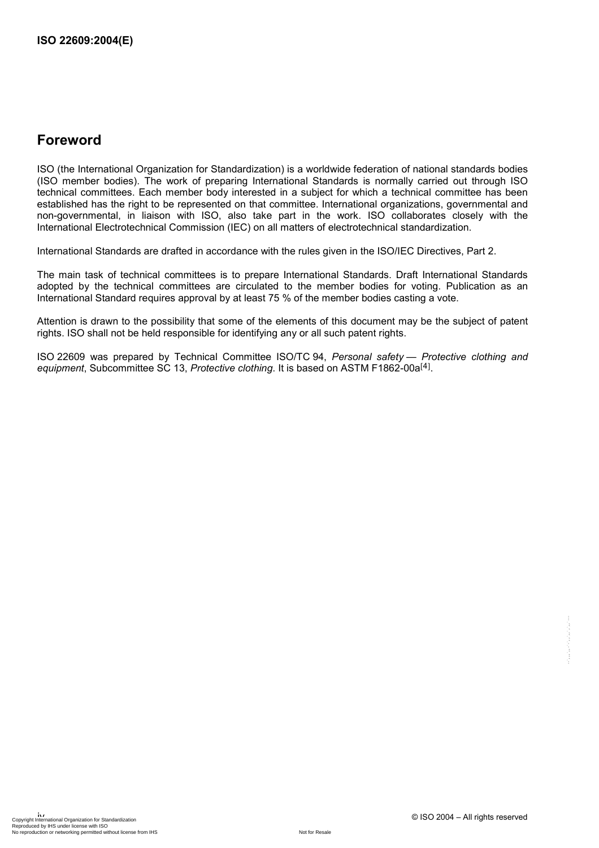## **Foreword**

ISO (the International Organization for Standardization) is a worldwide federation of national standards bodies (ISO member bodies). The work of preparing International Standards is normally carried out through ISO technical committees. Each member body interested in a subject for which a technical committee has been established has the right to be represented on that committee. International organizations, governmental and non-governmental, in liaison with ISO, also take part in the work. ISO collaborates closely with the International Electrotechnical Commission (IEC) on all matters of electrotechnical standardization.

International Standards are drafted in accordance with the rules given in the ISO/IEC Directives, Part 2.

The main task of technical committees is to prepare International Standards. Draft International Standards adopted by the technical committees are circulated to the member bodies for voting. Publication as an International Standard requires approval by at least 75 % of the member bodies casting a vote.

Attention is drawn to the possibility that some of the elements of this document may be the subject of patent rights. ISO shall not be held responsible for identifying any or all such patent rights.

ISO 22609 was prepared by Technical Committee ISO/TC 94, *Personal safety — Protective clothing and*  equipment, Subcommittee SC 13, Protective clothing. It is based on ASTM F1862-00a<sup>[4]</sup>.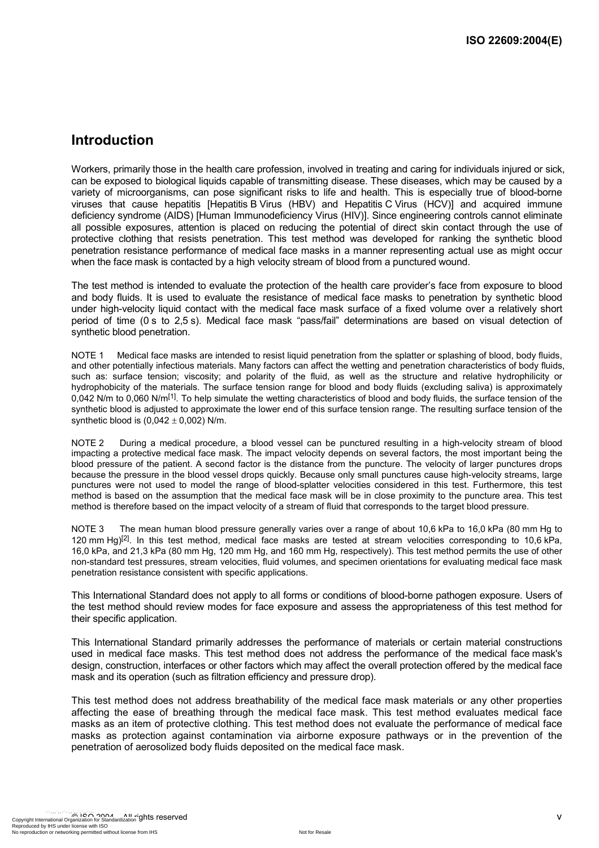## **Introduction**

Workers, primarily those in the health care profession, involved in treating and caring for individuals injured or sick, can be exposed to biological liquids capable of transmitting disease. These diseases, which may be caused by a variety of microorganisms, can pose significant risks to life and health. This is especially true of blood-borne viruses that cause hepatitis [Hepatitis B Virus (HBV) and Hepatitis C Virus (HCV)] and acquired immune deficiency syndrome (AIDS) [Human Immunodeficiency Virus (HIV)]. Since engineering controls cannot eliminate all possible exposures, attention is placed on reducing the potential of direct skin contact through the use of protective clothing that resists penetration. This test method was developed for ranking the synthetic blood penetration resistance performance of medical face masks in a manner representing actual use as might occur when the face mask is contacted by a high velocity stream of blood from a punctured wound.

The test method is intended to evaluate the protection of the health care provider's face from exposure to blood and body fluids. It is used to evaluate the resistance of medical face masks to penetration by synthetic blood under high-velocity liquid contact with the medical face mask surface of a fixed volume over a relatively short period of time (0 s to 2,5 s). Medical face mask "pass/fail" determinations are based on visual detection of synthetic blood penetration.

NOTE 1 Medical face masks are intended to resist liquid penetration from the splatter or splashing of blood, body fluids, and other potentially infectious materials. Many factors can affect the wetting and penetration characteristics of body fluids, such as: surface tension; viscosity; and polarity of the fluid, as well as the structure and relative hydrophilicity or hydrophobicity of the materials. The surface tension range for blood and body fluids (excluding saliva) is approximately 0,042 N/m to 0,060 N/m<sup>[1]</sup>. To help simulate the wetting characteristics of blood and body fluids, the surface tension of the synthetic blood is adjusted to approximate the lower end of this surface tension range. The resulting surface tension of the synthetic blood is  $(0.042 \pm 0.002)$  N/m.

NOTE 2 During a medical procedure, a blood vessel can be punctured resulting in a high-velocity stream of blood impacting a protective medical face mask. The impact velocity depends on several factors, the most important being the blood pressure of the patient. A second factor is the distance from the puncture. The velocity of larger punctures drops because the pressure in the blood vessel drops quickly. Because only small punctures cause high-velocity streams, large punctures were not used to model the range of blood-splatter velocities considered in this test. Furthermore, this test method is based on the assumption that the medical face mask will be in close proximity to the puncture area. This test method is therefore based on the impact velocity of a stream of fluid that corresponds to the target blood pressure.

NOTE 3 The mean human blood pressure generally varies over a range of about 10,6 kPa to 16,0 kPa (80 mm Hg to 120 mm Hg)<sup>[2]</sup>. In this test method, medical face masks are tested at stream velocities corresponding to 10.6 kPa, 16,0 kPa, and 21,3 kPa (80 mm Hg, 120 mm Hg, and 160 mm Hg, respectively). This test method permits the use of other non-standard test pressures, stream velocities, fluid volumes, and specimen orientations for evaluating medical face mask penetration resistance consistent with specific applications.

This International Standard does not apply to all forms or conditions of blood-borne pathogen exposure. Users of the test method should review modes for face exposure and assess the appropriateness of this test method for their specific application.

This International Standard primarily addresses the performance of materials or certain material constructions used in medical face masks. This test method does not address the performance of the medical face mask's design, construction, interfaces or other factors which may affect the overall protection offered by the medical face mask and its operation (such as filtration efficiency and pressure drop).

This test method does not address breathability of the medical face mask materials or any other properties affecting the ease of breathing through the medical face mask. This test method evaluates medical face masks as an item of protective clothing. This test method does not evaluate the performance of medical face masks as protection against contamination via airborne exposure pathways or in the prevention of the penetration of aerosolized body fluids deposited on the medical face mask.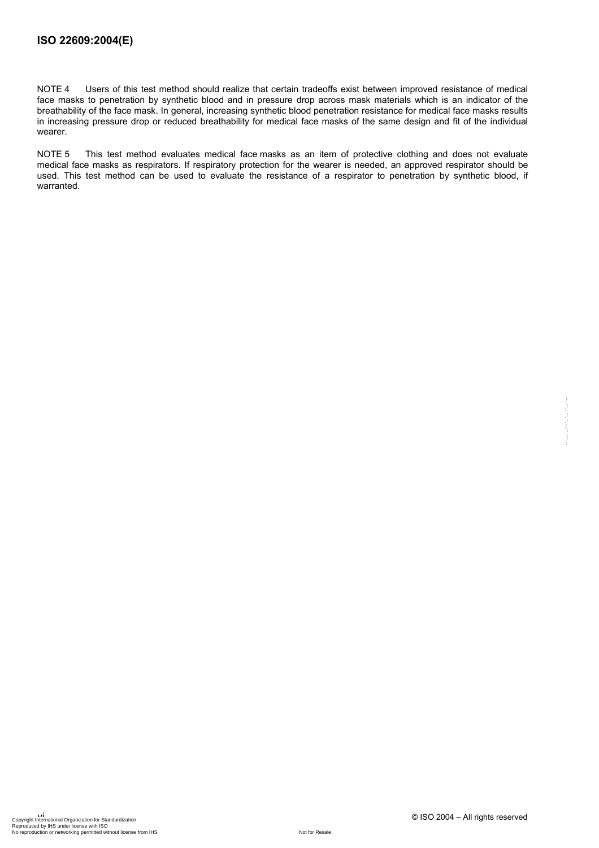NOTE 4 Users of this test method should realize that certain tradeoffs exist between improved resistance of medical face masks to penetration by synthetic blood and in pressure drop across mask materials which is an indicator of the breathability of the face mask. In general, increasing synthetic blood penetration resistance for medical face masks results in increasing pressure drop or reduced breathability for medical face masks of the same design and fit of the individual wearer.

NOTE 5 This test method evaluates medical face masks as an item of protective clothing and does not evaluate medical face masks as respirators. If respiratory protection for the wearer is needed, an approved respirator should be used. This test method can be used to evaluate the resistance of a respirator to penetration by synthetic blood, if warranted.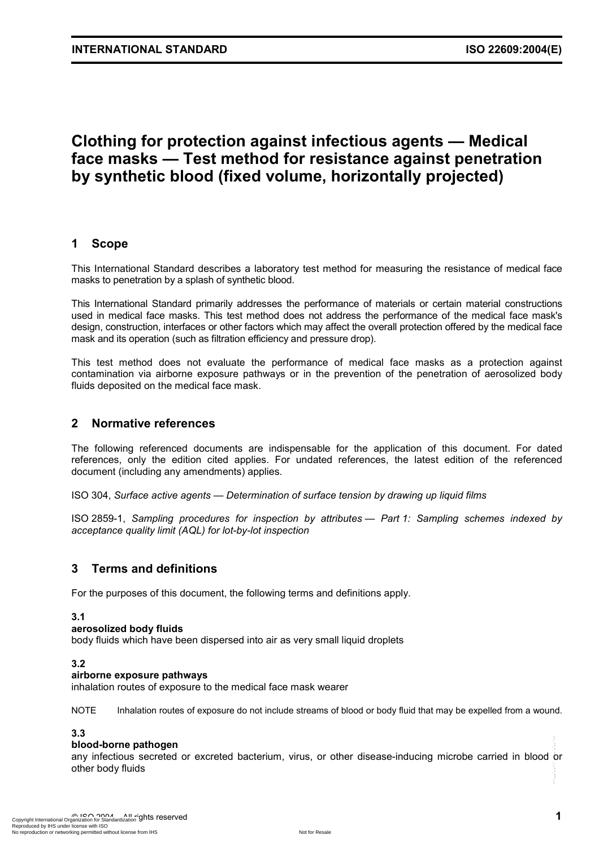## **Clothing for protection against infectious agents — Medical face masks — Test method for resistance against penetration by synthetic blood (fixed volume, horizontally projected)**

#### **1 Scope**

This International Standard describes a laboratory test method for measuring the resistance of medical face masks to penetration by a splash of synthetic blood.

This International Standard primarily addresses the performance of materials or certain material constructions used in medical face masks. This test method does not address the performance of the medical face mask's design, construction, interfaces or other factors which may affect the overall protection offered by the medical face mask and its operation (such as filtration efficiency and pressure drop).

This test method does not evaluate the performance of medical face masks as a protection against contamination via airborne exposure pathways or in the prevention of the penetration of aerosolized body fluids deposited on the medical face mask.

#### **2 Normative references**

The following referenced documents are indispensable for the application of this document. For dated references, only the edition cited applies. For undated references, the latest edition of the referenced document (including any amendments) applies.

ISO 304, *Surface active agents — Determination of surface tension by drawing up liquid films*

ISO 2859-1, *Sampling procedures for inspection by attributes — Part 1: Sampling schemes indexed by acceptance quality limit (AQL) for lot-by-lot inspection*

#### **3 Terms and definitions**

For the purposes of this document, the following terms and definitions apply.

#### **3.1**

#### **aerosolized body fluids**

body fluids which have been dispersed into air as very small liquid droplets

#### **3.2**

#### **airborne exposure pathways**

inhalation routes of exposure to the medical face mask wearer

NOTE Inhalation routes of exposure do not include streams of blood or body fluid that may be expelled from a wound.

#### **3.3**

#### **blood-borne pathogen**

any infectious secreted or excreted bacterium, virus, or other disease-inducing microbe carried in blood or other body fluids  $-1$ ,  $-1$ ,  $-1$ ,  $-1$ ,  $-1$ ,  $-1$ ,  $-1$ ,  $-1$ ,  $-1$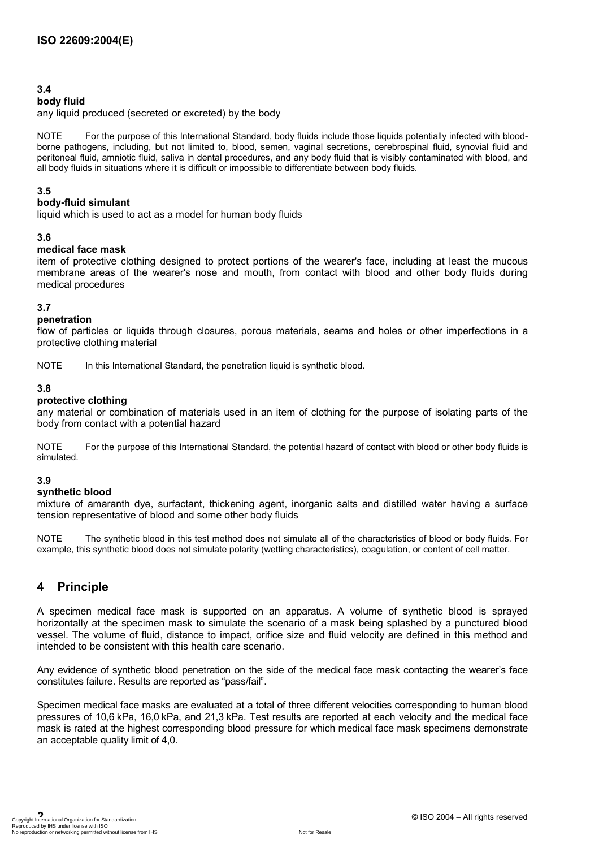#### **3.4**

#### **body fluid**

any liquid produced (secreted or excreted) by the body

NOTE For the purpose of this International Standard, body fluids include those liquids potentially infected with bloodborne pathogens, including, but not limited to, blood, semen, vaginal secretions, cerebrospinal fluid, synovial fluid and peritoneal fluid, amniotic fluid, saliva in dental procedures, and any body fluid that is visibly contaminated with blood, and all body fluids in situations where it is difficult or impossible to differentiate between body fluids.

#### **3.5**

#### **body-fluid simulant**

liquid which is used to act as a model for human body fluids

#### **3.6**

#### **medical face mask**

item of protective clothing designed to protect portions of the wearer's face, including at least the mucous membrane areas of the wearer's nose and mouth, from contact with blood and other body fluids during medical procedures

#### **3.7**

#### **penetration**

flow of particles or liquids through closures, porous materials, seams and holes or other imperfections in a protective clothing material

NOTE In this International Standard, the penetration liquid is synthetic blood.

#### **3.8**

#### **protective clothing**

any material or combination of materials used in an item of clothing for the purpose of isolating parts of the body from contact with a potential hazard

NOTE For the purpose of this International Standard, the potential hazard of contact with blood or other body fluids is simulated.

#### **3.9**

#### **synthetic blood**

mixture of amaranth dye, surfactant, thickening agent, inorganic salts and distilled water having a surface tension representative of blood and some other body fluids

NOTE The synthetic blood in this test method does not simulate all of the characteristics of blood or body fluids. For example, this synthetic blood does not simulate polarity (wetting characteristics), coagulation, or content of cell matter.

#### **4 Principle**

A specimen medical face mask is supported on an apparatus. A volume of synthetic blood is sprayed horizontally at the specimen mask to simulate the scenario of a mask being splashed by a punctured blood vessel. The volume of fluid, distance to impact, orifice size and fluid velocity are defined in this method and intended to be consistent with this health care scenario. --`,,,`,,-`-`,,`,,`,`,,`---

Any evidence of synthetic blood penetration on the side of the medical face mask contacting the wearer's face constitutes failure. Results are reported as "pass/fail".

Specimen medical face masks are evaluated at a total of three different velocities corresponding to human blood pressures of 10,6 kPa, 16,0 kPa, and 21,3 kPa. Test results are reported at each velocity and the medical face mask is rated at the highest corresponding blood pressure for which medical face mask specimens demonstrate an acceptable quality limit of 4,0.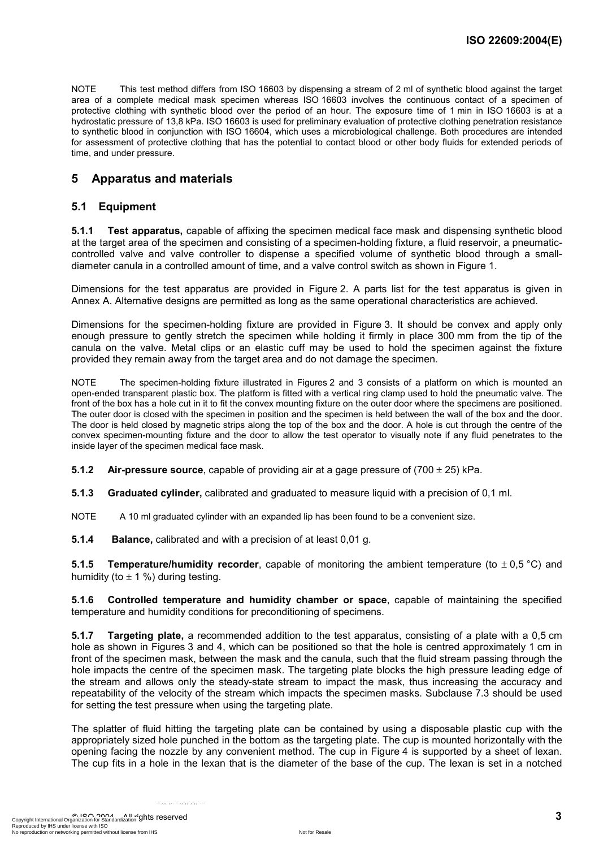NOTE This test method differs from ISO 16603 by dispensing a stream of 2 ml of synthetic blood against the target area of a complete medical mask specimen whereas ISO 16603 involves the continuous contact of a specimen of protective clothing with synthetic blood over the period of an hour. The exposure time of 1 min in ISO 16603 is at a hydrostatic pressure of 13,8 kPa. ISO 16603 is used for preliminary evaluation of protective clothing penetration resistance to synthetic blood in conjunction with ISO 16604, which uses a microbiological challenge. Both procedures are intended for assessment of protective clothing that has the potential to contact blood or other body fluids for extended periods of time, and under pressure.

#### **5 Apparatus and materials**

#### **5.1 Equipment**

**5.1.1 Test apparatus,** capable of affixing the specimen medical face mask and dispensing synthetic blood at the target area of the specimen and consisting of a specimen-holding fixture, a fluid reservoir, a pneumaticcontrolled valve and valve controller to dispense a specified volume of synthetic blood through a smalldiameter canula in a controlled amount of time, and a valve control switch as shown in Figure 1.

Dimensions for the test apparatus are provided in Figure 2. A parts list for the test apparatus is given in Annex A. Alternative designs are permitted as long as the same operational characteristics are achieved.

Dimensions for the specimen-holding fixture are provided in Figure 3. It should be convex and apply only enough pressure to gently stretch the specimen while holding it firmly in place 300 mm from the tip of the canula on the valve. Metal clips or an elastic cuff may be used to hold the specimen against the fixture provided they remain away from the target area and do not damage the specimen.

NOTE The specimen-holding fixture illustrated in Figures 2 and 3 consists of a platform on which is mounted an open-ended transparent plastic box. The platform is fitted with a vertical ring clamp used to hold the pneumatic valve. The front of the box has a hole cut in it to fit the convex mounting fixture on the outer door where the specimens are positioned. The outer door is closed with the specimen in position and the specimen is held between the wall of the box and the door. The door is held closed by magnetic strips along the top of the box and the door. A hole is cut through the centre of the convex specimen-mounting fixture and the door to allow the test operator to visually note if any fluid penetrates to the inside layer of the specimen medical face mask.

**5.1.2** Air-pressure source, capable of providing air at a gage pressure of (700  $\pm$  25) kPa.

**5.1.3 Graduated cylinder,** calibrated and graduated to measure liquid with a precision of 0,1 ml.

NOTE A 10 ml graduated cylinder with an expanded lip has been found to be a convenient size.

**5.1.4 Balance,** calibrated and with a precision of at least 0,01 g.

**5.1.5 Temperature/humidity recorder**, capable of monitoring the ambient temperature (to  $\pm$  0,5 °C) and humidity (to  $\pm$  1 %) during testing.

**5.1.6 Controlled temperature and humidity chamber or space**, capable of maintaining the specified temperature and humidity conditions for preconditioning of specimens.

**5.1.7 Targeting plate,** a recommended addition to the test apparatus, consisting of a plate with a 0,5 cm hole as shown in Figures 3 and 4, which can be positioned so that the hole is centred approximately 1 cm in front of the specimen mask, between the mask and the canula, such that the fluid stream passing through the hole impacts the centre of the specimen mask. The targeting plate blocks the high pressure leading edge of the stream and allows only the steady-state stream to impact the mask, thus increasing the accuracy and repeatability of the velocity of the stream which impacts the specimen masks. Subclause 7.3 should be used for setting the test pressure when using the targeting plate.

The splatter of fluid hitting the targeting plate can be contained by using a disposable plastic cup with the appropriately sized hole punched in the bottom as the targeting plate. The cup is mounted horizontally with the opening facing the nozzle by any convenient method. The cup in Figure 4 is supported by a sheet of lexan. The cup fits in a hole in the lexan that is the diameter of the base of the cup. The lexan is set in a notched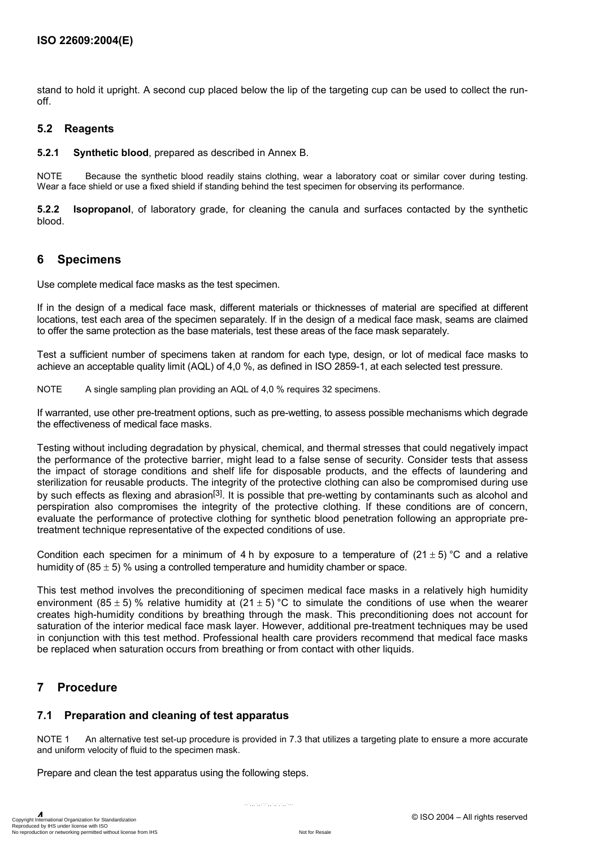stand to hold it upright. A second cup placed below the lip of the targeting cup can be used to collect the runoff.

#### **5.2 Reagents**

**5.2.1 Synthetic blood**, prepared as described in Annex B.

NOTE Because the synthetic blood readily stains clothing, wear a laboratory coat or similar cover during testing. Wear a face shield or use a fixed shield if standing behind the test specimen for observing its performance.

**5.2.2 Isopropanol**, of laboratory grade, for cleaning the canula and surfaces contacted by the synthetic blood.

#### **6 Specimens**

Use complete medical face masks as the test specimen.

If in the design of a medical face mask, different materials or thicknesses of material are specified at different locations, test each area of the specimen separately. If in the design of a medical face mask, seams are claimed to offer the same protection as the base materials, test these areas of the face mask separately.

Test a sufficient number of specimens taken at random for each type, design, or lot of medical face masks to achieve an acceptable quality limit (AQL) of 4,0 %, as defined in ISO 2859-1, at each selected test pressure.

NOTE A single sampling plan providing an AQL of 4,0 % requires 32 specimens.

If warranted, use other pre-treatment options, such as pre-wetting, to assess possible mechanisms which degrade the effectiveness of medical face masks.

Testing without including degradation by physical, chemical, and thermal stresses that could negatively impact the performance of the protective barrier, might lead to a false sense of security. Consider tests that assess the impact of storage conditions and shelf life for disposable products, and the effects of laundering and sterilization for reusable products. The integrity of the protective clothing can also be compromised during use by such effects as flexing and abrasion<sup>[3]</sup>. It is possible that pre-wetting by contaminants such as alcohol and perspiration also compromises the integrity of the protective clothing. If these conditions are of concern, evaluate the performance of protective clothing for synthetic blood penetration following an appropriate pretreatment technique representative of the expected conditions of use.

Condition each specimen for a minimum of 4 h by exposure to a temperature of  $(21 \pm 5)$  °C and a relative humidity of  $(85 \pm 5)$  % using a controlled temperature and humidity chamber or space.

This test method involves the preconditioning of specimen medical face masks in a relatively high humidity environment (85  $\pm$  5) % relative humidity at (21  $\pm$  5) °C to simulate the conditions of use when the wearer creates high-humidity conditions by breathing through the mask. This preconditioning does not account for saturation of the interior medical face mask layer. However, additional pre-treatment techniques may be used in conjunction with this test method. Professional health care providers recommend that medical face masks be replaced when saturation occurs from breathing or from contact with other liquids.

#### **7 Procedure**

#### **7.1 Preparation and cleaning of test apparatus**

NOTE 1 An alternative test set-up procedure is provided in 7.3 that utilizes a targeting plate to ensure a more accurate and uniform velocity of fluid to the specimen mask.

--`,,,`,,-`-`,,`,,`,`,,`---

Prepare and clean the test apparatus using the following steps.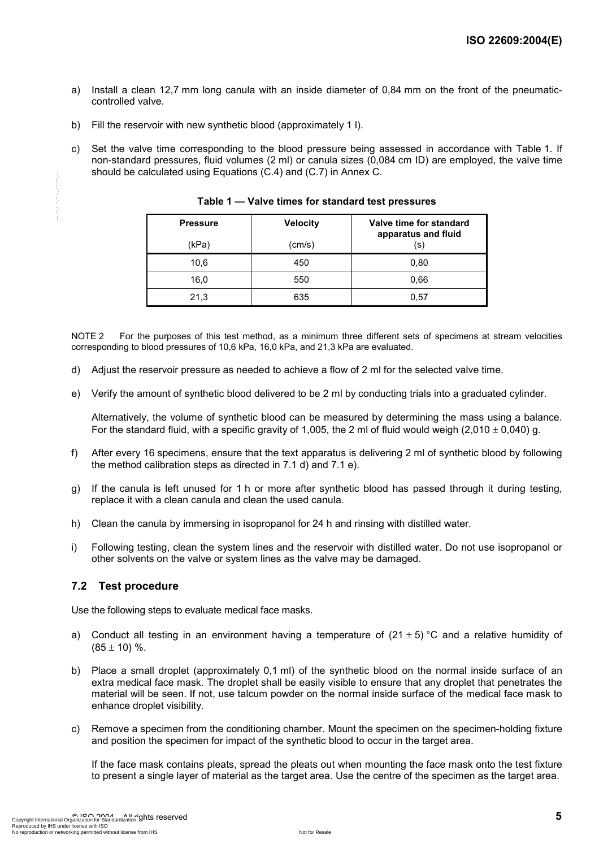- a) Install a clean 12,7 mm long canula with an inside diameter of 0,84 mm on the front of the pneumaticcontrolled valve.
- b) Fill the reservoir with new synthetic blood (approximately 1 l).
- c) Set the valve time corresponding to the blood pressure being assessed in accordance with Table 1. If non-standard pressures, fluid volumes (2 ml) or canula sizes (0,084 cm ID) are employed, the valve time should be calculated using Equations (C.4) and (C.7) in Annex C.

| <b>Pressure</b><br>(kPa) | <b>Velocity</b><br>(cm/s) | Valve time for standard<br>apparatus and fluid<br>(s) |
|--------------------------|---------------------------|-------------------------------------------------------|
| 10,6                     | 450                       | 0.80                                                  |
| 16,0                     | 550                       | 0.66                                                  |
| 21,3                     | 635                       | 0.57                                                  |

**Table 1 — Valve times for standard test pressures** 

NOTE 2 For the purposes of this test method, as a minimum three different sets of specimens at stream velocities corresponding to blood pressures of 10,6 kPa, 16,0 kPa, and 21,3 kPa are evaluated.

- d) Adjust the reservoir pressure as needed to achieve a flow of 2 ml for the selected valve time.
- e) Verify the amount of synthetic blood delivered to be 2 ml by conducting trials into a graduated cylinder.

Alternatively, the volume of synthetic blood can be measured by determining the mass using a balance. For the standard fluid, with a specific gravity of 1,005, the 2 ml of fluid would weigh (2,010  $\pm$  0,040) g.

- f) After every 16 specimens, ensure that the text apparatus is delivering 2 ml of synthetic blood by following the method calibration steps as directed in 7.1 d) and 7.1 e).
- g) If the canula is left unused for 1 h or more after synthetic blood has passed through it during testing, replace it with a clean canula and clean the used canula.
- h) Clean the canula by immersing in isopropanol for 24 h and rinsing with distilled water.
- i) Following testing, clean the system lines and the reservoir with distilled water. Do not use isopropanol or other solvents on the valve or system lines as the valve may be damaged.

#### **7.2 Test procedure**

Use the following steps to evaluate medical face masks.

- a) Conduct all testing in an environment having a temperature of  $(21 \pm 5)$  °C and a relative humidity of  $(85 \pm 10)$  %.
- b) Place a small droplet (approximately 0,1 ml) of the synthetic blood on the normal inside surface of an extra medical face mask. The droplet shall be easily visible to ensure that any droplet that penetrates the material will be seen. If not, use talcum powder on the normal inside surface of the medical face mask to enhance droplet visibility.
- c) Remove a specimen from the conditioning chamber. Mount the specimen on the specimen-holding fixture and position the specimen for impact of the synthetic blood to occur in the target area.

If the face mask contains pleats, spread the pleats out when mounting the face mask onto the test fixture to present a single layer of material as the target area. Use the centre of the specimen as the target area.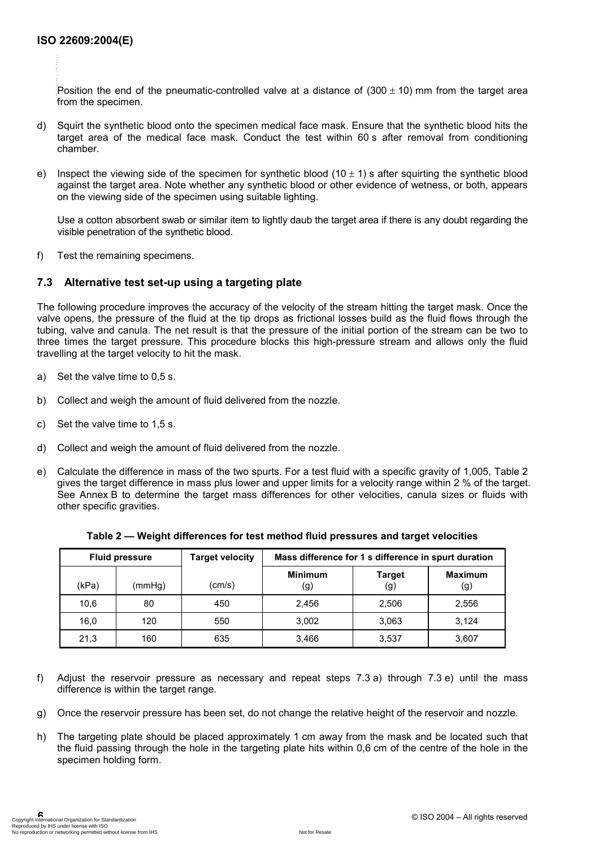--`,,,`,,-`-`,,`,,`,`,,`---

Position the end of the pneumatic-controlled valve at a distance of  $(300 \pm 10)$  mm from the target area from the specimen.

- d) Squirt the synthetic blood onto the specimen medical face mask. Ensure that the synthetic blood hits the target area of the medical face mask. Conduct the test within 60 s after removal from conditioning chamber.
- e) Inspect the viewing side of the specimen for synthetic blood  $(10 \pm 1)$  s after squirting the synthetic blood against the target area. Note whether any synthetic blood or other evidence of wetness, or both, appears on the viewing side of the specimen using suitable lighting.

Use a cotton absorbent swab or similar item to lightly daub the target area if there is any doubt regarding the visible penetration of the synthetic blood.

f) Test the remaining specimens.

#### **7.3 Alternative test set-up using a targeting plate**

The following procedure improves the accuracy of the velocity of the stream hitting the target mask. Once the valve opens, the pressure of the fluid at the tip drops as frictional losses build as the fluid flows through the tubing, valve and canula. The net result is that the pressure of the initial portion of the stream can be two to three times the target pressure. This procedure blocks this high-pressure stream and allows only the fluid travelling at the target velocity to hit the mask.

- a) Set the valve time to 0,5 s.
- b) Collect and weigh the amount of fluid delivered from the nozzle.
- c) Set the valve time to 1,5 s.
- d) Collect and weigh the amount of fluid delivered from the nozzle.
- e) Calculate the difference in mass of the two spurts. For a test fluid with a specific gravity of 1,005, Table 2 gives the target difference in mass plus lower and upper limits for a velocity range within 2 % of the target. See Annex B to determine the target mass differences for other velocities, canula sizes or fluids with other specific gravities.

| <b>Fluid pressure</b> |        | <b>Target velocity</b> | Mass difference for 1 s difference in spurt duration |                      |                       |
|-----------------------|--------|------------------------|------------------------------------------------------|----------------------|-----------------------|
| (kPa)                 | (mmHg) | (cm/s)                 | <b>Minimum</b><br>(g)                                | <b>Target</b><br>(g) | <b>Maximum</b><br>(g) |
| 10,6                  | 80     | 450                    | 2.456                                                | 2,506                | 2,556                 |
| 16,0                  | 120    | 550                    | 3,002                                                | 3,063                | 3,124                 |
| 21,3                  | 160    | 635                    | 3,466                                                | 3,537                | 3,607                 |

**Table 2 — Weight differences for test method fluid pressures and target velocities** 

- f) Adjust the reservoir pressure as necessary and repeat steps 7.3 a) through 7.3 e) until the mass difference is within the target range.
- g) Once the reservoir pressure has been set, do not change the relative height of the reservoir and nozzle.
- h) The targeting plate should be placed approximately 1 cm away from the mask and be located such that the fluid passing through the hole in the targeting plate hits within 0,6 cm of the centre of the hole in the specimen holding form.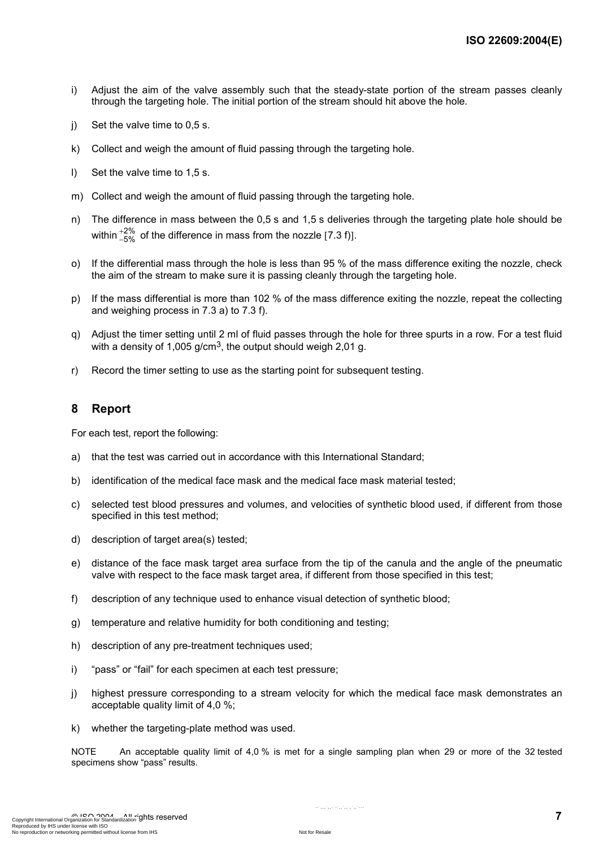- i) Adjust the aim of the valve assembly such that the steady-state portion of the stream passes cleanly through the targeting hole. The initial portion of the stream should hit above the hole.
- j) Set the valve time to 0,5 s.
- k) Collect and weigh the amount of fluid passing through the targeting hole.
- l) Set the valve time to 1,5 s.
- m) Collect and weigh the amount of fluid passing through the targeting hole.
- n) The difference in mass between the 0,5 s and 1,5 s deliveries through the targeting plate hole should be within  $^{+2\%}_{-5\%}$  $^{+2\%}_{-5\%}$  of the difference in mass from the nozzle [7.3 f)].
- o) If the differential mass through the hole is less than 95 % of the mass difference exiting the nozzle, check the aim of the stream to make sure it is passing cleanly through the targeting hole.
- p) If the mass differential is more than 102 % of the mass difference exiting the nozzle, repeat the collecting and weighing process in 7.3 a) to 7.3 f).
- q) Adjust the timer setting until 2 ml of fluid passes through the hole for three spurts in a row. For a test fluid with a density of 1,005 g/cm<sup>3</sup>, the output should weigh 2,01 g.
- r) Record the timer setting to use as the starting point for subsequent testing.

#### **8 Report**

For each test, report the following:

- a) that the test was carried out in accordance with this International Standard;
- b) identification of the medical face mask and the medical face mask material tested;
- c) selected test blood pressures and volumes, and velocities of synthetic blood used, if different from those specified in this test method;
- d) description of target area(s) tested:
- e) distance of the face mask target area surface from the tip of the canula and the angle of the pneumatic valve with respect to the face mask target area, if different from those specified in this test;
- f) description of any technique used to enhance visual detection of synthetic blood;
- g) temperature and relative humidity for both conditioning and testing;
- h) description of any pre-treatment techniques used;
- i) "pass" or "fail" for each specimen at each test pressure;
- j) highest pressure corresponding to a stream velocity for which the medical face mask demonstrates an acceptable quality limit of 4,0 %;
- k) whether the targeting-plate method was used.

NOTE An acceptable quality limit of 4,0 % is met for a single sampling plan when 29 or more of the 32 tested specimens show "pass" results.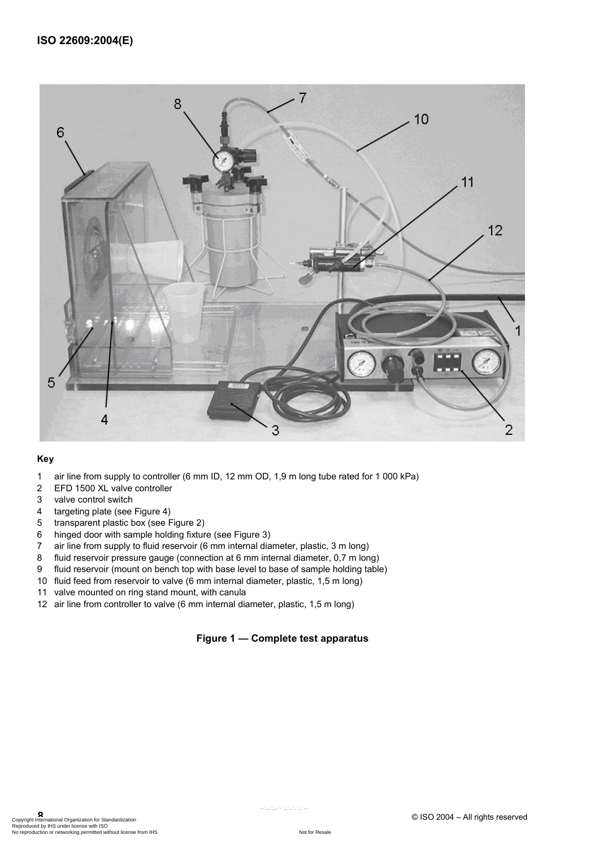

#### **Key**

- 1 air line from supply to controller (6 mm ID, 12 mm OD, 1,9 m long tube rated for 1 000 kPa)
- 2 EFD 1500 XL valve controller
- 3 valve control switch
- 4 targeting plate (see Figure 4)
- 5 transparent plastic box (see Figure 2)
- 6 hinged door with sample holding fixture (see Figure 3)
- 7 air line from supply to fluid reservoir (6 mm internal diameter, plastic, 3 m long)
- 8 fluid reservoir pressure gauge (connection at 6 mm internal diameter, 0,7 m long)
- 9 fluid reservoir (mount on bench top with base level to base of sample holding table)
- 10 fluid feed from reservoir to valve (6 mm internal diameter, plastic, 1,5 m long)
- 11 valve mounted on ring stand mount, with canula
- 12 air line from controller to valve (6 mm internal diameter, plastic, 1,5 m long)

#### **Figure 1 — Complete test apparatus**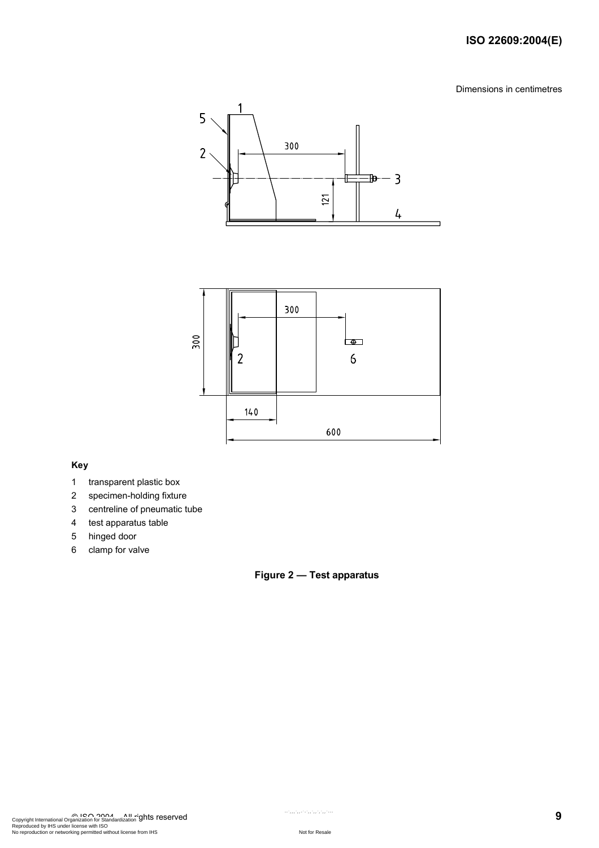#### **ISO 22609:2004(E)**

Dimensions in centimetres





#### **Key**

- 1 transparent plastic box
- 2 specimen-holding fixture
- 3 centreline of pneumatic tube
- 4 test apparatus table
- 5 hinged door
- 6 clamp for valve

#### **Figure 2 — Test apparatus**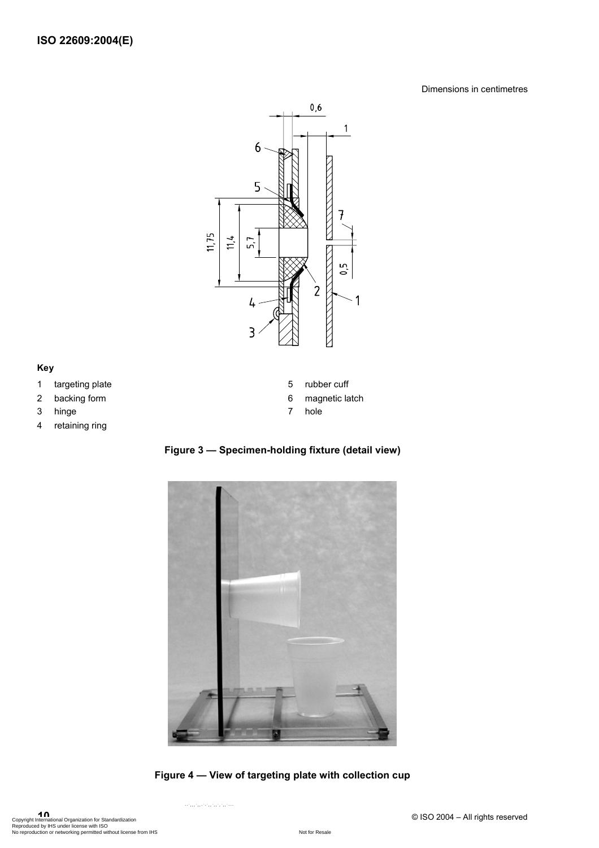#### Dimensions in centimetres



#### **Key**

- 1 targeting plate
- 2 backing form
- 3 hinge
- 4 retaining ring

**Figure 3 — Specimen-holding fixture (detail view)** 

5 rubber cuff 6 magnetic latch

7 hole



**Figure 4 — View of targeting plate with collection cup**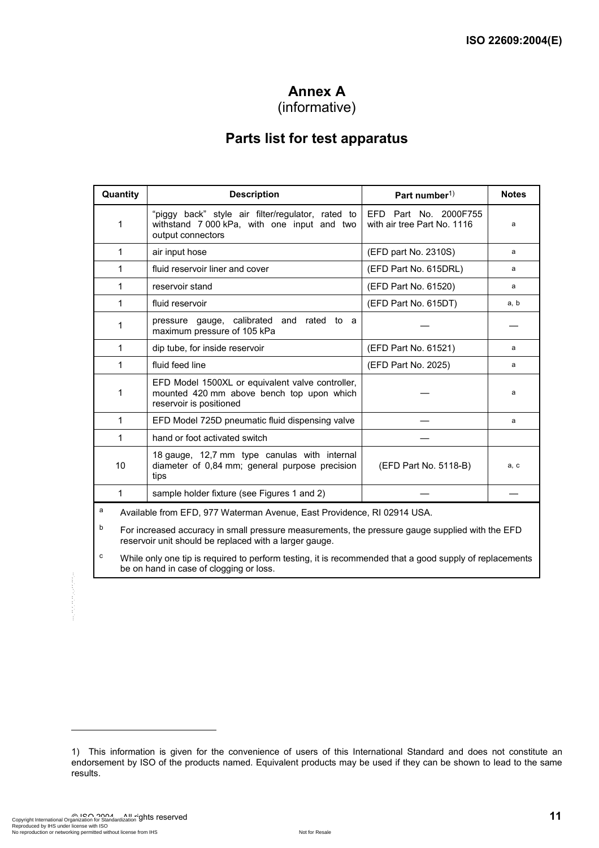## **Annex A**

## (informative)

## **Parts list for test apparatus**

| Quantity | <b>Description</b>                                                                                                       | Part number <sup>1)</sup>                            | <b>Notes</b> |
|----------|--------------------------------------------------------------------------------------------------------------------------|------------------------------------------------------|--------------|
| 1        | "piggy back" style air filter/regulator, rated to<br>withstand 7 000 kPa, with one input and two<br>output connectors    | EFD Part No. 2000F755<br>with air tree Part No. 1116 | a            |
| 1        | air input hose                                                                                                           | (EFD part No. 2310S)                                 | a            |
| 1        | fluid reservoir liner and cover                                                                                          | (EFD Part No. 615DRL)                                | a            |
| 1        | reservoir stand                                                                                                          | (EFD Part No. 61520)                                 | a            |
| 1        | fluid reservoir                                                                                                          | (EFD Part No. 615DT)                                 | a, b         |
| 1        | pressure gauge, calibrated and rated to a<br>maximum pressure of 105 kPa                                                 |                                                      |              |
| 1        | dip tube, for inside reservoir                                                                                           | (EFD Part No. 61521)                                 | a            |
| 1        | fluid feed line                                                                                                          | (EFD Part No. 2025)                                  | a            |
| 1        | EFD Model 1500XL or equivalent valve controller,<br>mounted 420 mm above bench top upon which<br>reservoir is positioned |                                                      | a            |
| 1        | EFD Model 725D pneumatic fluid dispensing valve                                                                          |                                                      | a            |
| 1        | hand or foot activated switch                                                                                            |                                                      |              |
| 10       | 18 gauge, 12,7 mm type canulas with internal<br>diameter of 0,84 mm; general purpose precision<br>tips                   | (EFD Part No. 5118-B)                                | a, c         |
| 1        | sample holder fixture (see Figures 1 and 2)                                                                              |                                                      |              |
|          | Accelled Long FED 077 Wetchester Accessor Feet Davids<br>DIOOMIIOI                                                       |                                                      |              |

<sup>a</sup> Available from EFD, 977 Waterman Avenue, East Providence, RI 02914 USA.

b For increased accuracy in small pressure measurements, the pressure gauge supplied with the EFD reservoir unit should be replaced with a larger gauge.

c While only one tip is required to perform testing, it is recommended that a good supply of replacements be on hand in case of clogging or loss.

l

<sup>1)</sup> This information is given for the convenience of users of this International Standard and does not constitute an endorsement by ISO of the products named. Equivalent products may be used if they can be shown to lead to the same results.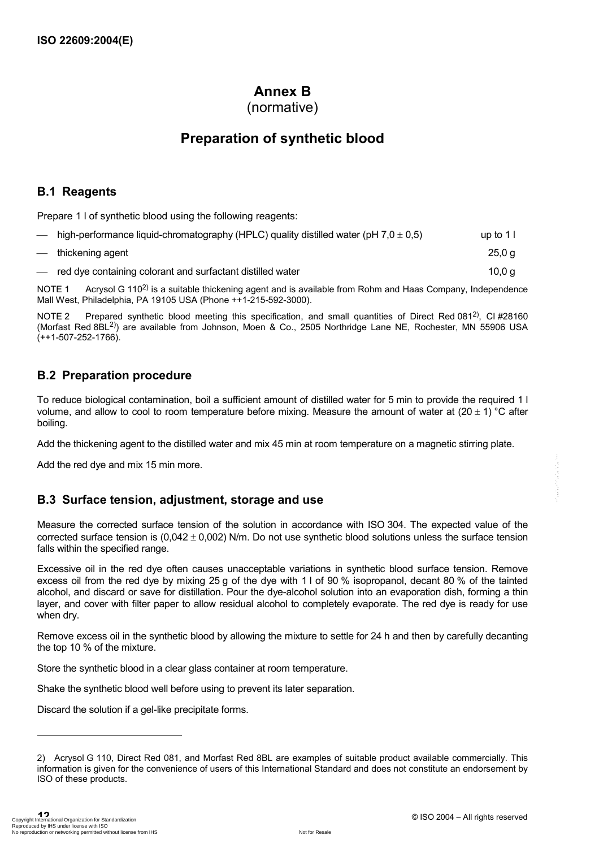## **Annex B**

(normative)

## **Preparation of synthetic blood**

#### **B.1 Reagents**

Prepare 1 l of synthetic blood using the following reagents:

|                          | high-performance liquid-chromatography (HPLC) quality distilled water (pH $7.0 \pm 0.5$ ) | up to $11$ |
|--------------------------|-------------------------------------------------------------------------------------------|------------|
|                          | — thickening agent                                                                        | 25.0 g     |
| $\overline{\phantom{0}}$ | red dye containing colorant and surfactant distilled water                                | 10,0 g     |

NOTE 1 Acrysol G 110<sup>2)</sup> is a suitable thickening agent and is available from Rohm and Haas Company, Independence Mall West, Philadelphia, PA 19105 USA (Phone ++1-215-592-3000).

NOTE 2 Prepared synthetic blood meeting this specification, and small quantities of Direct Red 081<sup>2)</sup>, CI #28160 (Morfast Red 8BL2)) are available from Johnson, Moen & Co., 2505 Northridge Lane NE, Rochester, MN 55906 USA (++1-507-252-1766).

#### **B.2 Preparation procedure**

To reduce biological contamination, boil a sufficient amount of distilled water for 5 min to provide the required 1 l volume, and allow to cool to room temperature before mixing. Measure the amount of water at  $(20 \pm 1)$  °C after boiling.

Add the thickening agent to the distilled water and mix 45 min at room temperature on a magnetic stirring plate.

Add the red dye and mix 15 min more.

### **B.3 Surface tension, adjustment, storage and use**

Measure the corrected surface tension of the solution in accordance with ISO 304. The expected value of the corrected surface tension is  $(0.042 \pm 0.002)$  N/m. Do not use synthetic blood solutions unless the surface tension falls within the specified range.

Excessive oil in the red dye often causes unacceptable variations in synthetic blood surface tension. Remove excess oil from the red dye by mixing 25 g of the dye with 1 l of 90 % isopropanol, decant 80 % of the tainted alcohol, and discard or save for distillation. Pour the dye-alcohol solution into an evaporation dish, forming a thin layer, and cover with filter paper to allow residual alcohol to completely evaporate. The red dye is ready for use when dry.

Remove excess oil in the synthetic blood by allowing the mixture to settle for 24 h and then by carefully decanting the top 10 % of the mixture.

Store the synthetic blood in a clear glass container at room temperature.

Shake the synthetic blood well before using to prevent its later separation.

Discard the solution if a gel-like precipitate forms.

l

<sup>2)</sup> Acrysol G 110, Direct Red 081, and Morfast Red 8BL are examples of suitable product available commercially. This information is given for the convenience of users of this International Standard and does not constitute an endorsement by ISO of these products.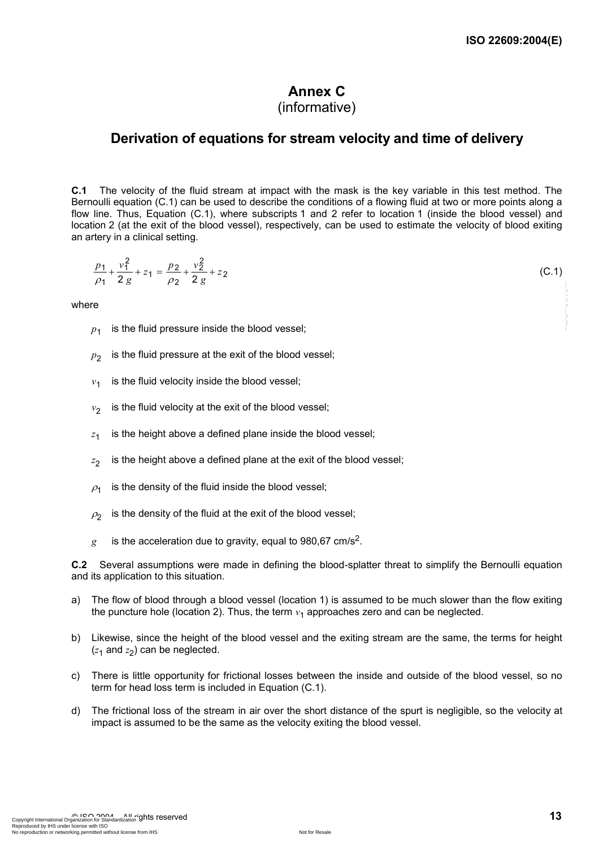# **Annex C**

## (informative)

### **Derivation of equations for stream velocity and time of delivery**

**C.1** The velocity of the fluid stream at impact with the mask is the key variable in this test method. The Bernoulli equation (C.1) can be used to describe the conditions of a flowing fluid at two or more points along a flow line. Thus, Equation (C.1), where subscripts 1 and 2 refer to location 1 (inside the blood vessel) and location 2 (at the exit of the blood vessel), respectively, can be used to estimate the velocity of blood exiting an artery in a clinical setting.

$$
\frac{p_1}{\rho_1} + \frac{v_1^2}{2g} + z_1 = \frac{p_2}{\rho_2} + \frac{v_2^2}{2g} + z_2
$$
 (C.1)

where

- $p_1$  is the fluid pressure inside the blood vessel;
- $p_2$  is the fluid pressure at the exit of the blood vessel;
- $v_1$  is the fluid velocity inside the blood vessel:
- $v_2$  is the fluid velocity at the exit of the blood vessel;
- $z_1$  is the height above a defined plane inside the blood vessel;
- $z_2$  is the height above a defined plane at the exit of the blood vessel;
- $\rho_1$  is the density of the fluid inside the blood vessel;
- $\rho_2$  is the density of the fluid at the exit of the blood vessel;
- $g$  is the acceleration due to gravity, equal to 980,67 cm/s<sup>2</sup>.

**C.2** Several assumptions were made in defining the blood-splatter threat to simplify the Bernoulli equation and its application to this situation.

- a) The flow of blood through a blood vessel (location 1) is assumed to be much slower than the flow exiting the puncture hole (location 2). Thus, the term  $v_1$  approaches zero and can be neglected.
- b) Likewise, since the height of the blood vessel and the exiting stream are the same, the terms for height  $(z_1$  and  $z_2$ ) can be neglected.
- c) There is little opportunity for frictional losses between the inside and outside of the blood vessel, so no term for head loss term is included in Equation (C.1).
- d) The frictional loss of the stream in air over the short distance of the spurt is negligible, so the velocity at impact is assumed to be the same as the velocity exiting the blood vessel.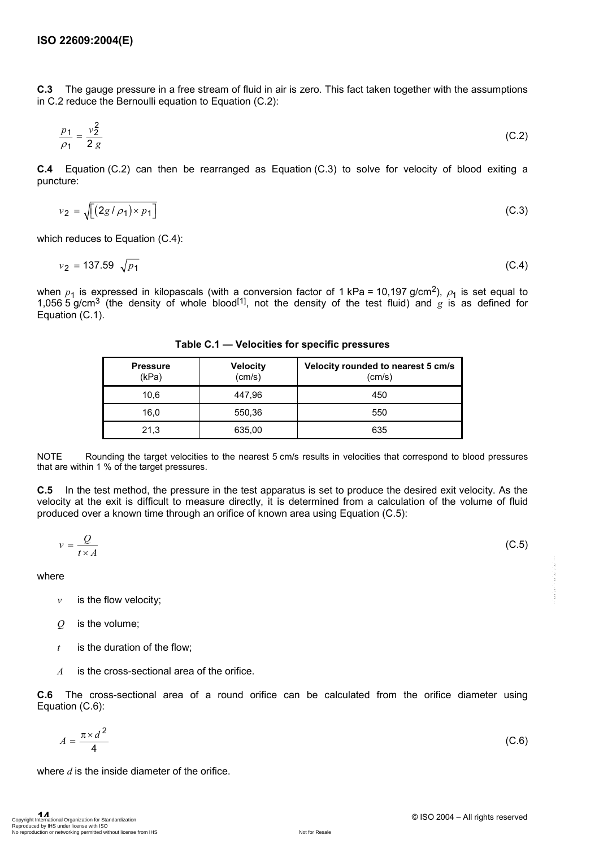**C.3** The gauge pressure in a free stream of fluid in air is zero. This fact taken together with the assumptions in C.2 reduce the Bernoulli equation to Equation (C.2):

$$
\frac{p_1}{\rho_1} = \frac{v_2^2}{2 g} \tag{C.2}
$$

**C.4** Equation (C.2) can then be rearranged as Equation (C.3) to solve for velocity of blood exiting a puncture:

$$
v_2 = \sqrt{\left[ \left( 2g/\rho_1 \right) \times p_1 \right]}
$$
 (C.3)

which reduces to Equation (C.4):

$$
v_2 = 137.59 \sqrt{p_1} \tag{C.4}
$$

when  $p_1$  is expressed in kilopascals (with a conversion factor of 1 kPa = 10,197 g/cm<sup>2</sup>),  $\rho_1$  is set equal to 1,056 5 g/cm3 (the density of whole blood[1], not the density of the test fluid) and *g* is as defined for Equation (C.1).

**Pressure** (kPa) **Velocity** (cm/s) **Velocity rounded to nearest 5 cm/s** (cm/s) 10,6 10.6 447,96 10.6 450 16,0 | 550,36 | 550 21,3 635,00 635

**Table C.1 — Velocities for specific pressures** 

NOTE Rounding the target velocities to the nearest 5 cm/s results in velocities that correspond to blood pressures that are within 1 % of the target pressures.

**C.5** In the test method, the pressure in the test apparatus is set to produce the desired exit velocity. As the velocity at the exit is difficult to measure directly, it is determined from a calculation of the volume of fluid produced over a known time through an orifice of known area using Equation (C.5):

$$
v = \frac{Q}{t \times A} \tag{C.5}
$$

where

- $v$  is the flow velocity;
- *Q* is the volume;
- *t* is the duration of the flow;
- *A* is the cross-sectional area of the orifice.

**C.6** The cross-sectional area of a round orifice can be calculated from the orifice diameter using Equation (C.6):

$$
A = \frac{\pi \times d^2}{4} \tag{C.6}
$$

where *d* is the inside diameter of the orifice.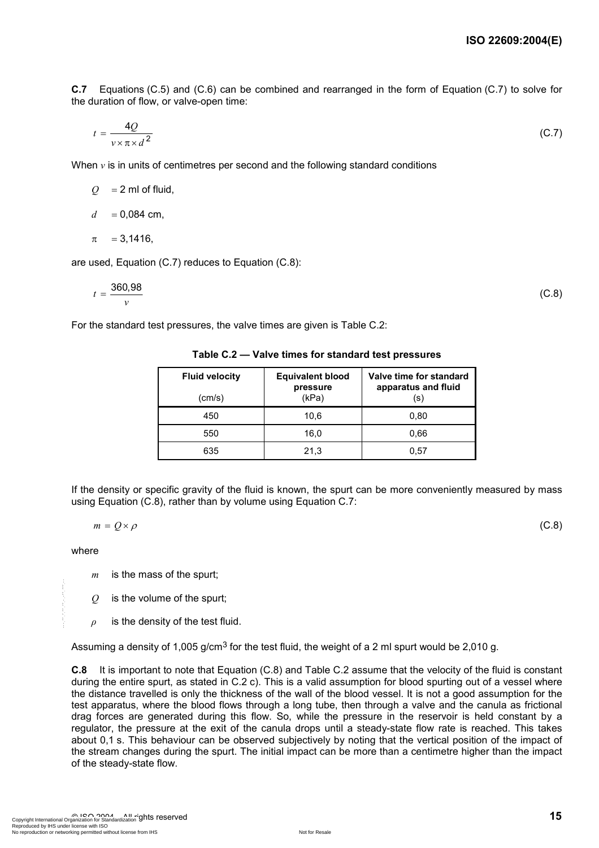**C.7** Equations (C.5) and (C.6) can be combined and rearranged in the form of Equation (C.7) to solve for the duration of flow, or valve-open time:

$$
t = \frac{4Q}{v \times \pi \times d^2} \tag{C.7}
$$

When  $\nu$  is in units of centimetres per second and the following standard conditions

 $Q = 2$  ml of fluid,

 $d = 0.084$  cm,

$$
\pi = 3,1416,
$$

are used, Equation (C.7) reduces to Equation (C.8):

$$
t = \frac{360,98}{v}
$$
 (C.8)

For the standard test pressures, the valve times are given is Table C.2:

**Table C.2 — Valve times for standard test pressures** 

| <b>Fluid velocity</b><br>(cm/s) | <b>Equivalent blood</b><br>pressure<br>(kPa) | Valve time for standard<br>apparatus and fluid<br>(s) |
|---------------------------------|----------------------------------------------|-------------------------------------------------------|
| 450                             | 10.6                                         | 0,80                                                  |
| 550                             | 16.0                                         | 0.66                                                  |
| 635                             | 21.3                                         | 0.57                                                  |

If the density or specific gravity of the fluid is known, the spurt can be more conveniently measured by mass using Equation (C.8), rather than by volume using Equation C.7:

 $m = Q \times \rho$  (C.8)

where

*m* is the mass of the spurt;

*Q* is the volume of the spurt;

*ρ* is the density of the test fluid.

Assuming a density of 1,005 g/cm<sup>3</sup> for the test fluid, the weight of a 2 ml spurt would be 2,010 g.

**C.8** It is important to note that Equation (C.8) and Table C.2 assume that the velocity of the fluid is constant during the entire spurt, as stated in C.2 c). This is a valid assumption for blood spurting out of a vessel where the distance travelled is only the thickness of the wall of the blood vessel. It is not a good assumption for the test apparatus, where the blood flows through a long tube, then through a valve and the canula as frictional drag forces are generated during this flow. So, while the pressure in the reservoir is held constant by a regulator, the pressure at the exit of the canula drops until a steady-state flow rate is reached. This takes about 0,1 s. This behaviour can be observed subjectively by noting that the vertical position of the impact of the stream changes during the spurt. The initial impact can be more than a centimetre higher than the impact of the steady-state flow.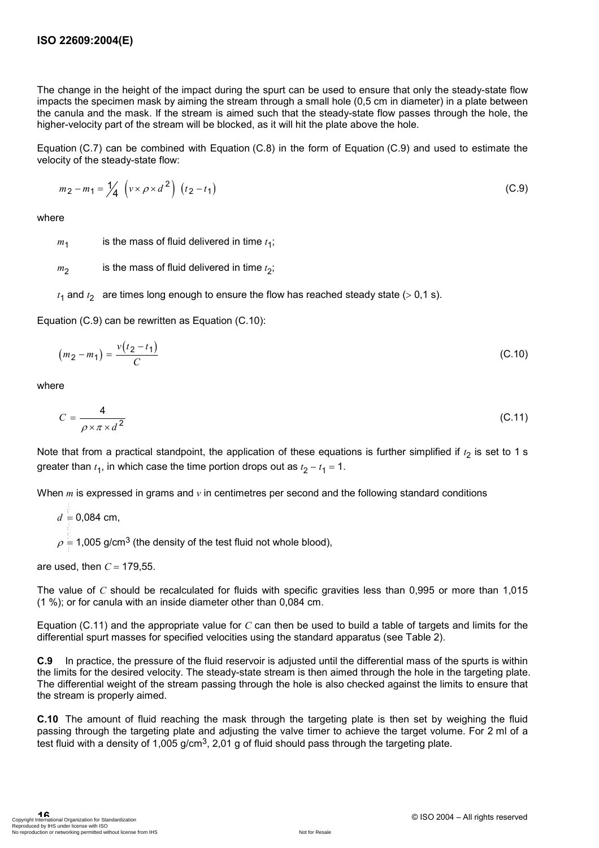The change in the height of the impact during the spurt can be used to ensure that only the steady-state flow impacts the specimen mask by aiming the stream through a small hole (0,5 cm in diameter) in a plate between the canula and the mask. If the stream is aimed such that the steady-state flow passes through the hole, the higher-velocity part of the stream will be blocked, as it will hit the plate above the hole.

Equation (C.7) can be combined with Equation (C.8) in the form of Equation (C.9) and used to estimate the velocity of the steady-state flow:

$$
m_2 - m_1 = \frac{1}{4} \left( v \times \rho \times d^2 \right) \left( t_2 - t_1 \right) \tag{C.9}
$$

where

 $m_1$  is the mass of fluid delivered in time  $t_1$ ;

- $m<sub>2</sub>$  is the mass of fluid delivered in time  $t<sub>2</sub>$ ;
- $t_1$  and  $t_2$  are times long enough to ensure the flow has reached steady state (> 0,1 s).

Equation (C.9) can be rewritten as Equation (C.10):

$$
(m_2 - m_1) = \frac{v(t_2 - t_1)}{C}
$$
 (C.10)

where

$$
C = \frac{4}{\rho \times \pi \times d^2} \tag{C.11}
$$

Note that from a practical standpoint, the application of these equations is further simplified if *t* 2 is set to 1 s greater than  $t_1$ , in which case the time portion drops out as  $t_2 - t_1 = 1$ .

When *m* is expressed in grams and *v* in centimetres per second and the following standard conditions

 $d = 0.084$  cm,  $\rho = 1,005$  g/cm<sup>3</sup> (the density of the test fluid not whole blood), --`,,,`,,-`-`,,`,,`,`,,`---

are used, then  $C = 179,55$ .

The value of *C* should be recalculated for fluids with specific gravities less than 0,995 or more than 1,015 (1 %); or for canula with an inside diameter other than 0,084 cm.

Equation (C.11) and the appropriate value for *C* can then be used to build a table of targets and limits for the differential spurt masses for specified velocities using the standard apparatus (see Table 2).

**C.9** In practice, the pressure of the fluid reservoir is adjusted until the differential mass of the spurts is within the limits for the desired velocity. The steady-state stream is then aimed through the hole in the targeting plate. The differential weight of the stream passing through the hole is also checked against the limits to ensure that the stream is properly aimed.

**C.10** The amount of fluid reaching the mask through the targeting plate is then set by weighing the fluid passing through the targeting plate and adjusting the valve timer to achieve the target volume. For 2 ml of a test fluid with a density of 1,005  $q/cm<sup>3</sup>$ , 2,01 g of fluid should pass through the targeting plate.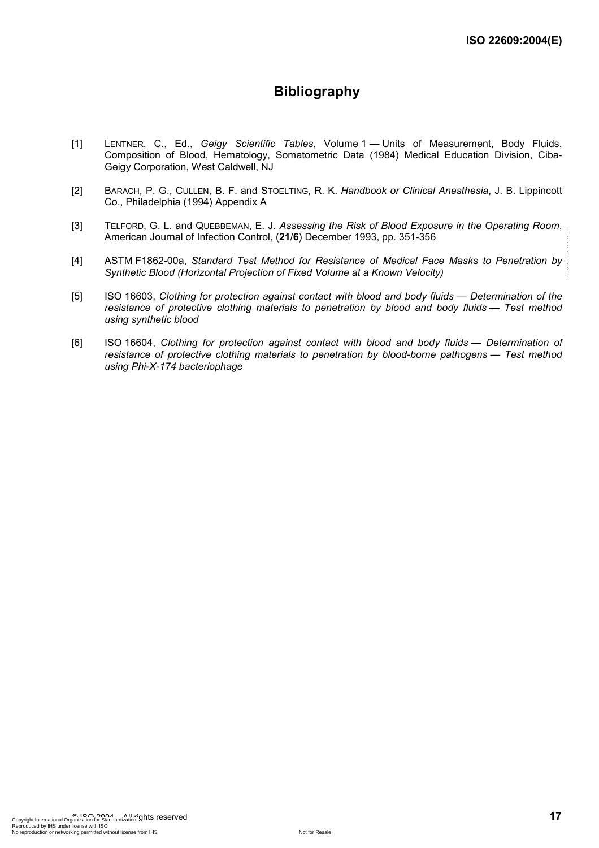## **Bibliography**

- [1] LENTNER, C., Ed., *Geigy Scientific Tables*, Volume 1 Units of Measurement, Body Fluids, Composition of Blood, Hematology, Somatometric Data (1984) Medical Education Division, Ciba-Geigy Corporation, West Caldwell, NJ
- [2] BARACH, P. G., CULLEN, B. F. and STOELTING, R. K. *Handbook or Clinical Anesthesia*, J. B. Lippincott Co., Philadelphia (1994) Appendix A
- [3] TELFORD, G. L. and QUEBBEMAN, E. J. *Assessing the Risk of Blood Exposure in the Operating Room*, American Journal of Infection Control, (**21**/**6**) December 1993, pp. 351-356
- [4] ASTM F1862-00a, *Standard Test Method for Resistance of Medical Face Masks to Penetration by Synthetic Blood (Horizontal Projection of Fixed Volume at a Known Velocity)*
- [5] ISO 16603, *Clothing for protection against contact with blood and body fluids Determination of the resistance of protective clothing materials to penetration by blood and body fluids — Test method using synthetic blood*
- [6] ISO 16604, *Clothing for protection against contact with blood and body fluids Determination of resistance of protective clothing materials to penetration by blood-borne pathogens — Test method using Phi-X-174 bacteriophage*